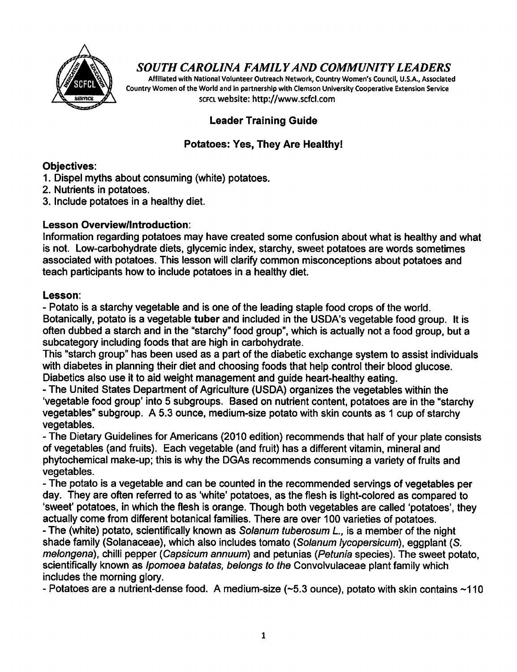

# *SOUTH CAROLINA FAMILYAND COMMUNITY LEADERS*

*Affiliated with NationalVolunteer Outreach Network, Country Women's Council, U.S.A., Associated Country Women of the World and in partnership with Clemson University Cooperative Extension Service scfclwebsite: http://www.scfcl.com*

### *Leader Training Guide*

### *Potatoes: Yes, They Are Healthy!*

### *Objectives:*

- 1. Dispel myths about consuming (white) potatoes.
- 2. Nutrients in potatoes.
- 3. Include potatoes in a healthy diet.

### *Lesson Overview/Introduction:*

Information regarding potatoes may have created some confusion about what is healthy and what is not. Low-carbohydrate diets, glycemic index, starchy, sweet potatoes are words sometimes associated with potatoes. This lesson will clarify common misconceptions about potatoes and teach participants how to include potatoes in a healthy diet.

#### *Lesson:*

- Potato is a starchy vegetable and is one of the leading staple food crops of the world. Botanically, potato is a vegetable *tuber* and included in the USDA's vegetable food group. It is often dubbed a starch and in the "starchy" food group", which is actually not a food group, but a subcategory including foods that are high in carbohydrate.

This "starch group" has been used as a part of the diabetic exchange system to assist individuals with diabetes in planning their diet and choosing foods that help control their blood glucose. Diabetics also use it to aid weight management and guide heart-healthy eating.

- The United States Department of Agriculture (USDA) organizes the vegetables within the 'vegetable food group' into 5 subgroups. Based on nutrient content, potatoes are in the "starchy vegetables" subgroup. A 5.3 ounce, medium-size potato with skin counts as 1 cup of starchy vegetables.

- The Dietary Guidelines for Americans (2010 edition) recommends that half of your plate consists of vegetables (and fruits). Each vegetable (and fruit) has a different vitamin, mineral and phytochemical make-up; this is why the DGAs recommends consuming a variety of fruits and vegetables.

- The potato is a vegetable and can be counted in the recommended servings of vegetables per day. They are often referred to as 'white' potatoes, as the flesh is light-colored as compared to 'sweet' potatoes, in which the flesh is orange. Though both vegetables are called 'potatoes', they actually come from different botanical families. There are over 100 varieties of potatoes.

- The (white) potato, scientificallyknown as **Solanum tuberosum L,** is a member of the night shade family (Solanaceae), which also includes tomato **(Solanum iycopersicum),** eggplant **(S. melongena),** chilli pepper **(Capsicum annuum)** and petunias **(Petunia** species). The sweet potato, scientifically known as **Ipomoea batatas, belongs to the** Convolvulaceae plant family which includes the morning glory.

- Potatoes are a nutrient-dense food. A medium-size  $(\sim 5.3$  ounce), potato with skin contains  $\sim 110$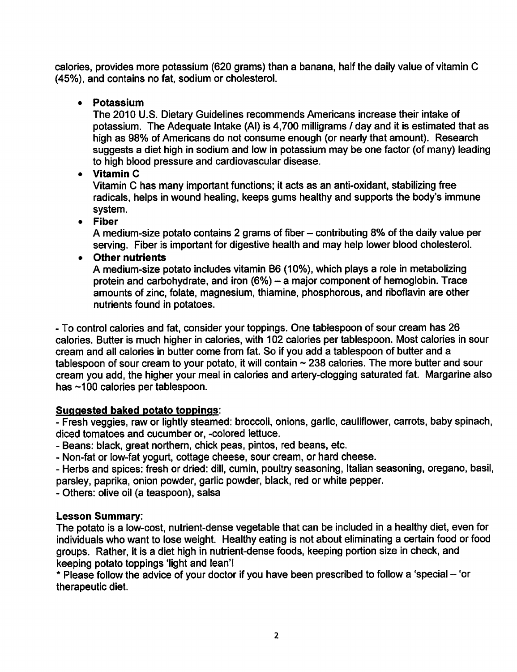calories, provides more potassium (620 grams) than a banana, half the daily value of vitamin C (45%), and contains no fat, sodium or cholesterol.

• *Potassium*

The 2010 U.S. Dietary Guidelines recommends Americans increase their intake of potassium. The Adequate Intake (Al) is 4,700 milligrams / day and it is estimated that as high as 98% of Americans do not consume enough (or nearly that amount). Research suggests a diet high in sodium and low in potassium may be one factor (of many) leading to high blood pressure and cardiovascular disease.

• *Vitamin C*

Vitamin C has many important functions; it acts as an anti-oxidant, stabilizing free radicals, helps in wound healing, keeps gums healthy and supports the body's immune system.

• *Fiber*

A medium-size potato contains 2 grams of fiber – contributing 8% of the daily value per serving. Fiber is important for digestive health and may help lower blood cholesterol.

• *Other nutrients*

A medium-size potato includes vitamin B6 (10%), which plays a role in metabolizing protein and carbohydrate, and iron  $(6%) - a$  major component of hemoglobin. Trace amounts of zinc, folate, magnesium, thiamine, phosphorous, and riboflavin are other nutrients found in potatoes.

- To control calories and fat, consider your toppings. One tablespoon of sour cream has 26 calories. Butter is much higher in calories, with 102 calories per tablespoon. Most calories in sour cream and all calories in butter come from fat. So ifyou add a tablespoon of butter and a tablespoon of sour cream to your potato, it will contain ~ 238 calories. The more butter and sour cream you add, the higher your meal in calories and artery-clogging saturated fat. Margarine also has ~100 calories per tablespoon.

### *Suggested baked potato toppings:*

- Fresh veggies, raw or lightly steamed: broccoli, onions, garlic, cauliflower, carrots, baby spinach, diced tomatoes and cucumber or, -colored lettuce.

- Beans: black, great northern, chick peas, pintos, red beans, etc.

- Non-fat or low-fat yogurt, cottage cheese, sour cream, or hard cheese.

- Herbs and spices: fresh or dried: dill, cumin, poultry seasoning, Italian seasoning, oregano, basil, parsley, paprika, onion powder, garlic powder, black, red or white pepper.

- Others: olive oil (a teaspoon), salsa

## *Lesson Summary:*

The potato is a low-cost, nutrient-dense vegetable that can be included in a healthy diet, even for individuals who want to lose weight. Healthy eating is not about eliminating a certain food or food groups. Rather, it is a diet high in nutrient-dense foods, keeping portion size in check, and keeping potato toppings 'light and lean'!

\* Please follow the advice of your doctor if you have been prescribed to follow a 'special - 'or therapeutic diet.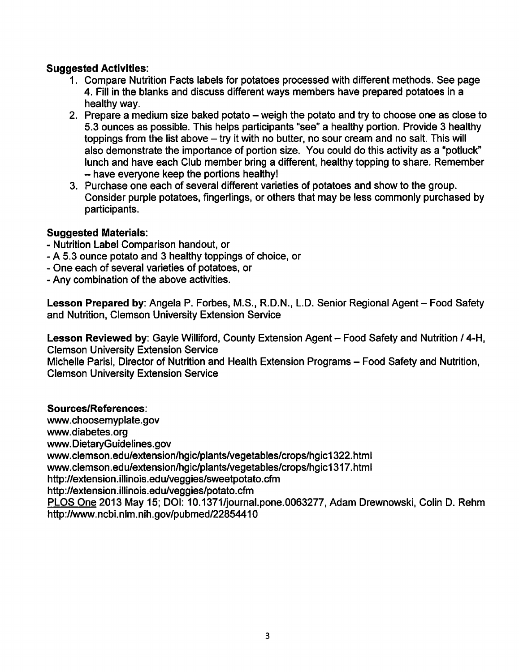### *Suggested Activities:*

- 1. Compare Nutrition Facts labels for potatoes processed with different methods. See page 4. Fill in the blanks and discuss different ways members have prepared potatoes in a healthy way.
- 2. Prepare a medium size baked potato weigh the potato and try to choose one as close to 5.3 ounces as possible. This helps participants "see" a healthy portion. Provide 3 healthy toppings from the list above  $-$  try it with no butter, no sour cream and no salt. This will also demonstrate the importance of portion size. You could do this activity as a "potluck" lunch and have each Club member bring a different, healthy topping to share. Remember - have everyone keep the portions healthy!
- 3. Purchase one each of several different varieties of potatoes and show to the group. Consider purple potatoes, fingerlings, or others that may be less commonly purchased by participants.

### *Suggested Materials:*

- Nutrition Label Comparison handout, or
- A 5.3 ounce potato and 3 healthy toppings of choice, or
- One each of several varieties of potatoes, or
- Any combination of the above activities.

*Lesson Prepared by:* Angela P. Forbes, M.S., R.D.N., L.D. Senior Regional Agent- Food Safety and Nutrition, Clemson University Extension Service

Lesson Reviewed by: Gayle Williford, County Extension Agent - Food Safety and Nutrition / 4-H. Clemson University Extension Service

Michelle Parisi, Director of Nutrition and Health Extension Programs - Food Safety and Nutrition, Clemson University Extension Service

#### *Sources/References:*

www.choosemyplate.gov www.diabetes.org www.DietaryGuidelines.gov www.clemson.edu/extension/hgic/plants/vegetables/crops/hgic1322.html www.clemson.edu/extension/hgic/plants/vegetables/crops/hgic1317.html http://extension.illinois.edu/veggies/sweetpotato.cfm http://extension.illinois.edu/veggies/potato.cfm PLOS One 2013 May 15; DOI: 10.1371/journal.pone.0063277, Adam Drewnowski, Colin D. Rehm http://www.ncbi.nlm.nih.gov/pubmed/22854410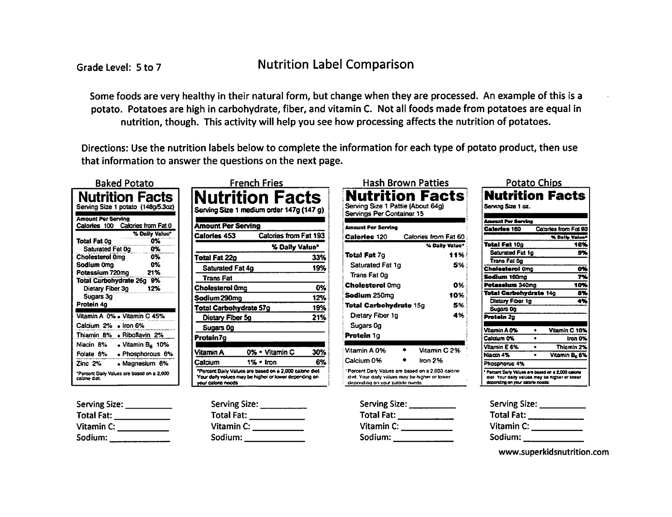**Nutrition Label Comparison** 

Some foods are very healthy in their natural form, but change when they are processed. An example of this is a potato. Potatoes are high in carbohydrate, fiber, and vitamin C. Not all foods made from potatoes are equal in nutrition, though. This activity will help you see how processing affects the nutrition of potatoes.

Directions: Use the nutrition labels below to complete the information for each type of potato product, then use that information to answer the questions on the next page.

| <b>Baked Potato</b>                                       |
|-----------------------------------------------------------|
| Nutrition Facts<br>Serving Size 1 potato (148g/5.3oz)     |
| Amount Per Serving<br>Calories from Fat 0<br>Calories 100 |
| % Daily Value*                                            |
| በ%<br><b>Total Fat Og</b>                                 |
| በ%<br>Saturated Fat 0g                                    |
| Cholesterol Omg<br>በ%                                     |
| በ%<br>Sodium 0mg                                          |
| 21%<br>Potassium 720mo                                    |
| Total Carbohydrate 26g 9%                                 |
| 12%<br>Dietary Fiber 3g                                   |
| Sugars 3g                                                 |
| Protein 4g                                                |
| Vitamin A 0% . Vitamin C 45%                              |
| Calcium 2% • Iron 6%                                      |
| Thiamin 8% • Riboflavin 2%                                |
| Niacin 8%<br>• Vitamin $B6$ 10%                           |
| • Phosphorous 6%<br>Folate 6%                             |
| Zinc 2%<br>• Magnesium 6%                                 |
| "Percont Daily Values are based on a 2,000<br>calone dat. |

| Serving Size: |  |
|---------------|--|
| Total Fat:    |  |
| Vitamin C:    |  |
| Sodium:       |  |

|                                                                                                                                       | French Fries   |                       |     |
|---------------------------------------------------------------------------------------------------------------------------------------|----------------|-----------------------|-----|
| Nutrition Facts<br>Serving Size 1 medium order 147g (147 g)                                                                           |                |                       |     |
| <b>Amount Per Serving</b>                                                                                                             |                |                       |     |
| Calories 453                                                                                                                          |                | Calories from Fat 193 |     |
|                                                                                                                                       |                | % Daily Value"        |     |
| <b>Total Fat 22g</b>                                                                                                                  |                |                       | 33% |
| Saturated Fat 4g                                                                                                                      |                |                       | 19% |
| Trans Fat                                                                                                                             |                |                       |     |
| Cholesterol Omn                                                                                                                       |                |                       | 0%  |
| Sodium 290ma                                                                                                                          |                |                       | 12% |
| Total Carbohydrate 57g                                                                                                                |                |                       | 19% |
| Dietary Fiber 5g                                                                                                                      |                |                       | 21% |
| Sugars Og                                                                                                                             |                |                       |     |
| Protein7g                                                                                                                             |                |                       |     |
| Vitamin A                                                                                                                             | 0% • Vilamin C |                       | 30% |
| Calcium                                                                                                                               | 1% • Iron      |                       | 6%  |
| "Percent Daily Values are based on a 2,000 cabine diet.<br>Your daily values may be higher or lower depending on<br>your calone needs |                |                       |     |

| Serving Size:     |  |
|-------------------|--|
| <b>Total Fat:</b> |  |
| Vitamin C:        |  |
| Sodium:           |  |

| Nutrition Facts<br>Serving Size 1 Pattie (About 64g)<br>Servings Per Container 15                                                         | Hash Brown Patties   |           |
|-------------------------------------------------------------------------------------------------------------------------------------------|----------------------|-----------|
| Amount Per Serving                                                                                                                        |                      |           |
| <b>Calories 120</b>                                                                                                                       | Calories from Fat 60 |           |
|                                                                                                                                           | % Dally Value*       |           |
| <b>Total Fat</b> 7q                                                                                                                       |                      | 11%       |
| <b>Saturated Fat 1g</b>                                                                                                                   |                      | 5%        |
| Trans Fat 0g                                                                                                                              |                      |           |
| <b>Cholesterol</b> Oma                                                                                                                    |                      | <b>D%</b> |
| <b>Sodium</b> 250ma                                                                                                                       |                      | 10%       |
| <b>Total Carbohydrate 15g</b>                                                                                                             |                      | 5%        |
| Dietary Fiber 1g                                                                                                                          |                      | 4%        |
| Sugars Og                                                                                                                                 |                      |           |
| Protein 1g                                                                                                                                |                      |           |
| Vitamin A 0%                                                                                                                              | Vitamin C 2%         |           |
| Calcium 0%                                                                                                                                | Iron 2%              |           |
| ' Porcent Daily Values are based on a 2,000 calorie<br>diet. Your daily values moy be higher or lower<br>depending on your calorle nieds: |                      |           |

| Serving Size: _ |  |
|-----------------|--|
| Total Fat:      |  |
| Vitamin C:      |  |
| Sodium:         |  |
|                 |  |

| <u> Potato Chips</u><br><b>Nutrition Facts</b>                                                                                          |   |                           |
|-----------------------------------------------------------------------------------------------------------------------------------------|---|---------------------------|
|                                                                                                                                         |   |                           |
| Serving Size 1 oz.                                                                                                                      |   |                           |
|                                                                                                                                         |   |                           |
| <b>Amount Por Servins</b>                                                                                                               |   |                           |
| Calorios 160                                                                                                                            |   | Catories from Fat 90      |
|                                                                                                                                         |   | % Daily Value             |
| Total Fat 10g                                                                                                                           |   | 16%                       |
| <b>Saturated Fat 1g</b>                                                                                                                 |   | 54                        |
| Trans Fat Og                                                                                                                            |   |                           |
| Cholesterol Omo                                                                                                                         |   |                           |
| Sodium 160mg                                                                                                                            |   |                           |
| <b>Potassium 340</b> mn                                                                                                                 |   | 10.                       |
| Total Carbohydrate 14g                                                                                                                  |   | 87                        |
| Diatary Fiber 1g                                                                                                                        |   | 4%                        |
| Sugars Og                                                                                                                               |   |                           |
| Protein 20                                                                                                                              |   |                           |
|                                                                                                                                         |   |                           |
| Vitamin A 0%                                                                                                                            | ٠ | Vitamin C 10%             |
| Calcium 0%                                                                                                                              |   | Iran O%                   |
| Vitamin E 6%                                                                                                                            | ٠ | Thiamin 2%                |
| Niacin 4%                                                                                                                               |   | Vitamin B <sub>o</sub> 6% |
| Phosphonus 4%                                                                                                                           |   |                           |
| * Percent Daily Values are based on a 2,000 calone<br>diet. Your daily values may be higher or lower<br>depending on your patone needs: |   |                           |

| Serving Size: _ |  |
|-----------------|--|
| Total Fat: _    |  |
| Vitamin C:      |  |
| Sodium:         |  |

www.superkidsnutrition.com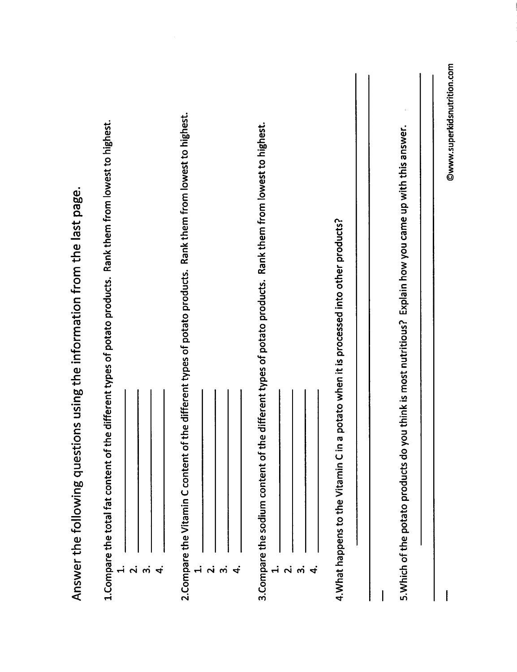| Answer the following questions using the information from the last page.                                                                               |
|--------------------------------------------------------------------------------------------------------------------------------------------------------|
| the different types of potato products. Rank them from lowest to highest.<br>1. Compare the total fat content of<br>$\div$                             |
| $\frac{1}{2}$ $\frac{1}{2}$                                                                                                                            |
| 2. Compare the Vitamin C content of the different types of potato products. Rank them from lowest to highest.<br>$\dot{+}$                             |
| $\frac{1}{2}$ $\frac{1}{2}$                                                                                                                            |
| 3. Compare the sodium content of the different types of potato products. Rank them from lowest to highest.<br>$\dot{+}$<br>$\frac{1}{2}$ $\frac{1}{2}$ |
|                                                                                                                                                        |
| n a potato when it is processed into other products?<br>4. What happens to the Vitamin Cir                                                             |
| you think is most nutritious? Explain how you came up with this answer.<br>5. Which of the potato products do                                          |
| ©www.superkidsnutrition.com                                                                                                                            |